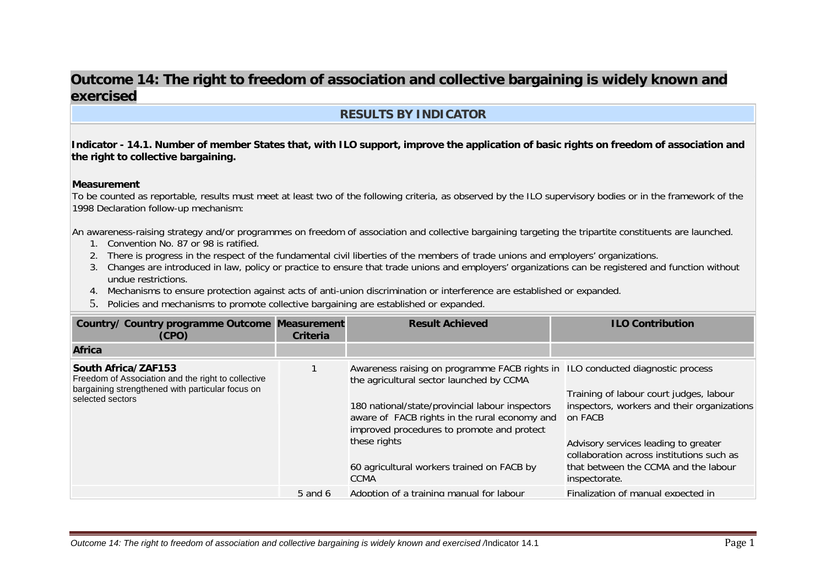# **Outcome 14: The right to freedom of association and collective bargaining is widely known and exercised**

# **RESULTS BY INDICATOR**

**Indicator - 14.1. Number of member States that, with ILO support, improve the application of basic rights on freedom of association and the right to collective bargaining.** 

#### **Measurement**

To be counted as reportable, results must meet at least two of the following criteria, as observed by the ILO supervisory bodies or in the framework of the 1998 Declaration follow-up mechanism:

An awareness-raising strategy and/or programmes on freedom of association and collective bargaining targeting the tripartite constituents are launched.

- 1. Convention No. 87 or 98 is ratified.
- 2. There is progress in the respect of the fundamental civil liberties of the members of trade unions and employers' organizations.
- 3. Changes are introduced in law, policy or practice to ensure that trade unions and employers' organizations can be registered and function without undue restrictions.
- 4. Mechanisms to ensure protection against acts of anti-union discrimination or interference are established or expanded.
- 5. Policies and mechanisms to promote collective bargaining are established or expanded.

| <b>Country/ Country programme Outcome Measurement</b><br>(CPO)                                                                                    | Criteria    | <b>Result Achieved</b>                                                                                                                                                                                                                                                                                                                             | <b>ILO Contribution</b>                                                                                                                                                                                                                         |
|---------------------------------------------------------------------------------------------------------------------------------------------------|-------------|----------------------------------------------------------------------------------------------------------------------------------------------------------------------------------------------------------------------------------------------------------------------------------------------------------------------------------------------------|-------------------------------------------------------------------------------------------------------------------------------------------------------------------------------------------------------------------------------------------------|
| <b>Africa</b>                                                                                                                                     |             |                                                                                                                                                                                                                                                                                                                                                    |                                                                                                                                                                                                                                                 |
| South Africa/ZAF153<br>Freedom of Association and the right to collective<br>bargaining strengthened with particular focus on<br>selected sectors |             | Awareness raising on programme FACB rights in ILO conducted diagnostic process<br>the agricultural sector launched by CCMA<br>180 national/state/provincial labour inspectors<br>aware of FACB rights in the rural economy and<br>improved procedures to promote and protect<br>these rights<br>60 agricultural workers trained on FACB by<br>CCMA | Training of labour court judges, labour<br>inspectors, workers and their organizations<br>on FACB<br>Advisory services leading to greater<br>collaboration across institutions such as<br>that between the CCMA and the labour<br>inspectorate. |
|                                                                                                                                                   | $5$ and $6$ | Adoption of a training manual for labour                                                                                                                                                                                                                                                                                                           | Finalization of manual expected in                                                                                                                                                                                                              |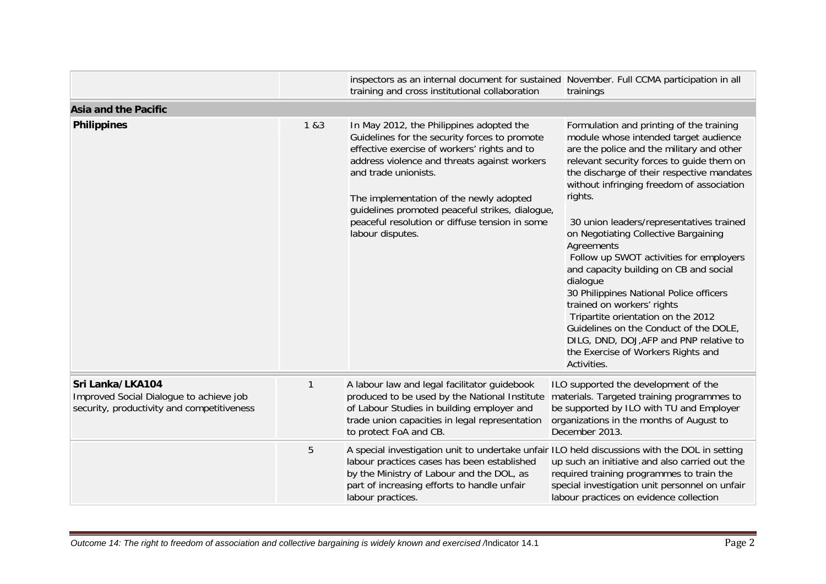|                                                                                                           |       | inspectors as an internal document for sustained November. Full CCMA participation in all<br>training and cross institutional collaboration                                                                                                                                                                                                                                           | trainings                                                                                                                                                                                                                                                                                                                                                                                                                                                                                                                                                                                                                                                                                                                                     |  |  |
|-----------------------------------------------------------------------------------------------------------|-------|---------------------------------------------------------------------------------------------------------------------------------------------------------------------------------------------------------------------------------------------------------------------------------------------------------------------------------------------------------------------------------------|-----------------------------------------------------------------------------------------------------------------------------------------------------------------------------------------------------------------------------------------------------------------------------------------------------------------------------------------------------------------------------------------------------------------------------------------------------------------------------------------------------------------------------------------------------------------------------------------------------------------------------------------------------------------------------------------------------------------------------------------------|--|--|
| <b>Asia and the Pacific</b>                                                                               |       |                                                                                                                                                                                                                                                                                                                                                                                       |                                                                                                                                                                                                                                                                                                                                                                                                                                                                                                                                                                                                                                                                                                                                               |  |  |
| <b>Philippines</b>                                                                                        | 1 & 3 | In May 2012, the Philippines adopted the<br>Guidelines for the security forces to promote<br>effective exercise of workers' rights and to<br>address violence and threats against workers<br>and trade unionists.<br>The implementation of the newly adopted<br>guidelines promoted peaceful strikes, dialogue,<br>peaceful resolution or diffuse tension in some<br>labour disputes. | Formulation and printing of the training<br>module whose intended target audience<br>are the police and the military and other<br>relevant security forces to guide them on<br>the discharge of their respective mandates<br>without infringing freedom of association<br>rights.<br>30 union leaders/representatives trained<br>on Negotiating Collective Bargaining<br>Agreements<br>Follow up SWOT activities for employers<br>and capacity building on CB and social<br>dialogue<br>30 Philippines National Police officers<br>trained on workers' rights<br>Tripartite orientation on the 2012<br>Guidelines on the Conduct of the DOLE,<br>DILG, DND, DOJ, AFP and PNP relative to<br>the Exercise of Workers Rights and<br>Activities. |  |  |
| Sri Lanka/LKA104<br>Improved Social Dialogue to achieve job<br>security, productivity and competitiveness | 1     | A labour law and legal facilitator guidebook<br>produced to be used by the National Institute<br>of Labour Studies in building employer and<br>trade union capacities in legal representation<br>to protect FoA and CB.                                                                                                                                                               | ILO supported the development of the<br>materials. Targeted training programmes to<br>be supported by ILO with TU and Employer<br>organizations in the months of August to<br>December 2013.                                                                                                                                                                                                                                                                                                                                                                                                                                                                                                                                                  |  |  |
|                                                                                                           | 5     | A special investigation unit to undertake unfair ILO held discussions with the DOL in setting<br>labour practices cases has been established<br>by the Ministry of Labour and the DOL, as<br>part of increasing efforts to handle unfair<br>labour practices.                                                                                                                         | up such an initiative and also carried out the<br>required training programmes to train the<br>special investigation unit personnel on unfair<br>labour practices on evidence collection                                                                                                                                                                                                                                                                                                                                                                                                                                                                                                                                                      |  |  |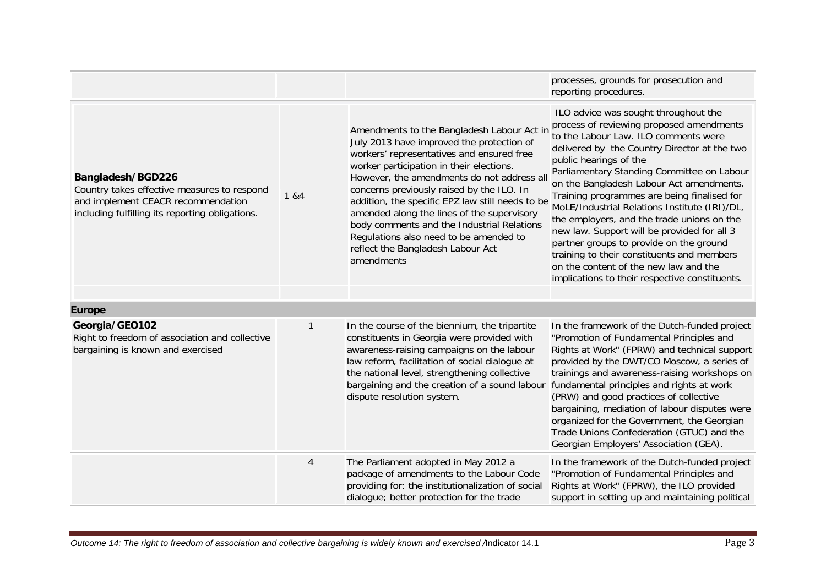|                                                                                                                                                           |        |                                                                                                                                                                                                                                                                                                                                                                                                                                                                                                                          | processes, grounds for prosecution and<br>reporting procedures.                                                                                                                                                                                                                                                                                                                                                                                                                                                                                                                                                                                                               |
|-----------------------------------------------------------------------------------------------------------------------------------------------------------|--------|--------------------------------------------------------------------------------------------------------------------------------------------------------------------------------------------------------------------------------------------------------------------------------------------------------------------------------------------------------------------------------------------------------------------------------------------------------------------------------------------------------------------------|-------------------------------------------------------------------------------------------------------------------------------------------------------------------------------------------------------------------------------------------------------------------------------------------------------------------------------------------------------------------------------------------------------------------------------------------------------------------------------------------------------------------------------------------------------------------------------------------------------------------------------------------------------------------------------|
| Bangladesh/BGD226<br>Country takes effective measures to respond<br>and implement CEACR recommendation<br>including fulfilling its reporting obligations. | 1 & 84 | Amendments to the Bangladesh Labour Act in<br>July 2013 have improved the protection of<br>workers' representatives and ensured free<br>worker participation in their elections.<br>However, the amendments do not address all<br>concerns previously raised by the ILO. In<br>addition, the specific EPZ law still needs to be<br>amended along the lines of the supervisory<br>body comments and the Industrial Relations<br>Regulations also need to be amended to<br>reflect the Bangladesh Labour Act<br>amendments | ILO advice was sought throughout the<br>process of reviewing proposed amendments<br>to the Labour Law. ILO comments were<br>delivered by the Country Director at the two<br>public hearings of the<br>Parliamentary Standing Committee on Labour<br>on the Bangladesh Labour Act amendments.<br>Training programmes are being finalised for<br>MoLE/Industrial Relations Institute (IRI)/DL,<br>the employers, and the trade unions on the<br>new law. Support will be provided for all 3<br>partner groups to provide on the ground<br>training to their constituents and members<br>on the content of the new law and the<br>implications to their respective constituents. |
| <b>Europe</b>                                                                                                                                             |        |                                                                                                                                                                                                                                                                                                                                                                                                                                                                                                                          |                                                                                                                                                                                                                                                                                                                                                                                                                                                                                                                                                                                                                                                                               |
| Georgia/GEO102<br>Right to freedom of association and collective<br>bargaining is known and exercised                                                     | 1      | In the course of the biennium, the tripartite<br>constituents in Georgia were provided with<br>awareness-raising campaigns on the labour<br>law reform, facilitation of social dialogue at<br>the national level, strengthening collective<br>bargaining and the creation of a sound labour<br>dispute resolution system.                                                                                                                                                                                                | In the framework of the Dutch-funded project<br>"Promotion of Fundamental Principles and<br>Rights at Work" (FPRW) and technical support<br>provided by the DWT/CO Moscow, a series of<br>trainings and awareness-raising workshops on<br>fundamental principles and rights at work<br>(PRW) and good practices of collective<br>bargaining, mediation of labour disputes were<br>organized for the Government, the Georgian<br>Trade Unions Confederation (GTUC) and the<br>Georgian Employers' Association (GEA).                                                                                                                                                           |
|                                                                                                                                                           | 4      | The Parliament adopted in May 2012 a<br>package of amendments to the Labour Code<br>providing for: the institutionalization of social<br>dialogue; better protection for the trade                                                                                                                                                                                                                                                                                                                                       | In the framework of the Dutch-funded project<br>"Promotion of Fundamental Principles and<br>Rights at Work" (FPRW), the ILO provided<br>support in setting up and maintaining political                                                                                                                                                                                                                                                                                                                                                                                                                                                                                       |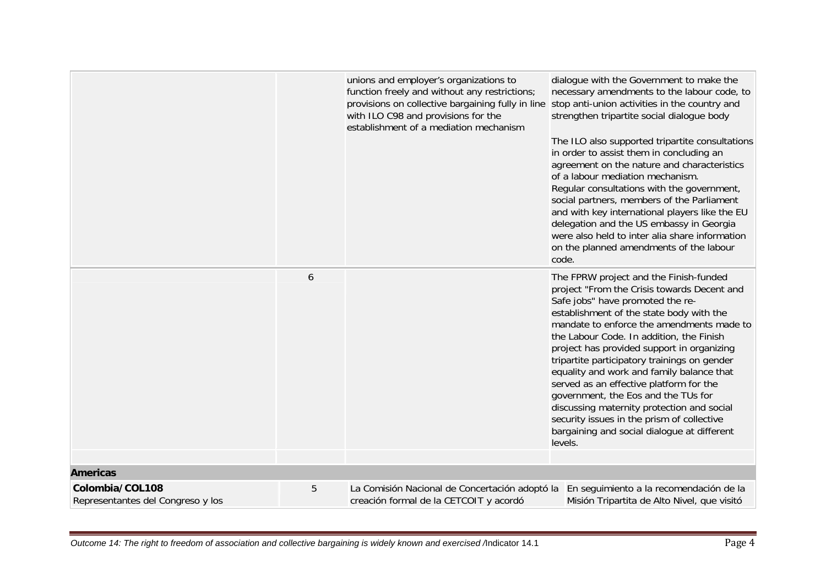|                                                      |   | unions and employer's organizations to<br>function freely and without any restrictions;<br>provisions on collective bargaining fully in line stop anti-union activities in the country and<br>with ILO C98 and provisions for the<br>establishment of a mediation mechanism | dialogue with the Government to make the<br>necessary amendments to the labour code, to<br>strengthen tripartite social dialogue body<br>The ILO also supported tripartite consultations<br>in order to assist them in concluding an<br>agreement on the nature and characteristics<br>of a labour mediation mechanism.<br>Regular consultations with the government,<br>social partners, members of the Parliament<br>and with key international players like the EU<br>delegation and the US embassy in Georgia<br>were also held to inter alia share information<br>on the planned amendments of the labour<br>code.                           |
|------------------------------------------------------|---|-----------------------------------------------------------------------------------------------------------------------------------------------------------------------------------------------------------------------------------------------------------------------------|---------------------------------------------------------------------------------------------------------------------------------------------------------------------------------------------------------------------------------------------------------------------------------------------------------------------------------------------------------------------------------------------------------------------------------------------------------------------------------------------------------------------------------------------------------------------------------------------------------------------------------------------------|
|                                                      | 6 |                                                                                                                                                                                                                                                                             | The FPRW project and the Finish-funded<br>project "From the Crisis towards Decent and<br>Safe jobs" have promoted the re-<br>establishment of the state body with the<br>mandate to enforce the amendments made to<br>the Labour Code. In addition, the Finish<br>project has provided support in organizing<br>tripartite participatory trainings on gender<br>equality and work and family balance that<br>served as an effective platform for the<br>government, the Eos and the TUs for<br>discussing maternity protection and social<br>security issues in the prism of collective<br>bargaining and social dialogue at different<br>levels. |
| <b>Americas</b>                                      |   |                                                                                                                                                                                                                                                                             |                                                                                                                                                                                                                                                                                                                                                                                                                                                                                                                                                                                                                                                   |
| Colombia/COL108<br>Representantes del Congreso y los | 5 | La Comisión Nacional de Concertación adoptó la<br>creación formal de la CETCOIT y acordó                                                                                                                                                                                    | En seguimiento a la recomendación de la<br>Misión Tripartita de Alto Nivel, que visitó                                                                                                                                                                                                                                                                                                                                                                                                                                                                                                                                                            |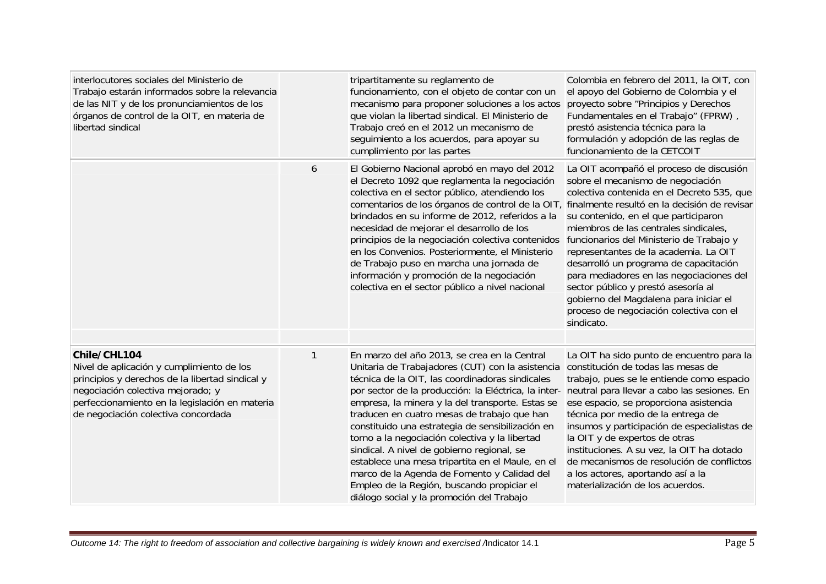| interlocutores sociales del Ministerio de<br>Trabajo estarán informados sobre la relevancia<br>de las NIT y de los pronunciamientos de los<br>órganos de control de la OIT, en materia de<br>libertad sindical                             |   | tripartitamente su reglamento de<br>funcionamiento, con el objeto de contar con un<br>mecanismo para proponer soluciones a los actos<br>que violan la libertad sindical. El Ministerio de<br>Trabajo creó en el 2012 un mecanismo de<br>seguimiento a los acuerdos, para apoyar su<br>cumplimiento por las partes                                                                                                                                                                                                                                                                                                                                                | Colombia en febrero del 2011, la OIT, con<br>el apoyo del Gobierno de Colombia y el<br>proyecto sobre "Principios y Derechos<br>Fundamentales en el Trabajo" (FPRW),<br>prestó asistencia técnica para la<br>formulación y adopción de las reglas de<br>funcionamiento de la CETCOIT                                                                                                                                                                                                                           |
|--------------------------------------------------------------------------------------------------------------------------------------------------------------------------------------------------------------------------------------------|---|------------------------------------------------------------------------------------------------------------------------------------------------------------------------------------------------------------------------------------------------------------------------------------------------------------------------------------------------------------------------------------------------------------------------------------------------------------------------------------------------------------------------------------------------------------------------------------------------------------------------------------------------------------------|----------------------------------------------------------------------------------------------------------------------------------------------------------------------------------------------------------------------------------------------------------------------------------------------------------------------------------------------------------------------------------------------------------------------------------------------------------------------------------------------------------------|
|                                                                                                                                                                                                                                            | 6 | El Gobierno Nacional aprobó en mayo del 2012<br>el Decreto 1092 que reglamenta la negociación<br>colectiva en el sector público, atendiendo los<br>comentarios de los órganos de control de la OIT, finalmente resultó en la decisión de revisar<br>brindados en su informe de 2012, referidos a la<br>necesidad de mejorar el desarrollo de los<br>principios de la negociación colectiva contenidos funcionarios del Ministerio de Trabajo y<br>en los Convenios. Posteriormente, el Ministerio<br>de Trabajo puso en marcha una jornada de<br>información y promoción de la negociación<br>colectiva en el sector público a nivel nacional                    | La OIT acompañó el proceso de discusión<br>sobre el mecanismo de negociación<br>colectiva contenida en el Decreto 535, que<br>su contenido, en el que participaron<br>miembros de las centrales sindicales,<br>representantes de la academia. La OIT<br>desarrolló un programa de capacitación<br>para mediadores en las negociaciones del<br>sector público y prestó asesoría al<br>gobierno del Magdalena para iniciar el<br>proceso de negociación colectiva con el<br>sindicato.                           |
| Chile/CHL104<br>Nivel de aplicación y cumplimiento de los<br>principios y derechos de la libertad sindical y<br>negociación colectiva mejorado; y<br>perfeccionamiento en la legislación en materia<br>de negociación colectiva concordada | 1 | En marzo del año 2013, se crea en la Central<br>Unitaria de Trabajadores (CUT) con la asistencia<br>técnica de la OIT, las coordinadoras sindicales<br>por sector de la producción: la Eléctrica, la inter-<br>empresa, la minera y la del transporte. Estas se<br>traducen en cuatro mesas de trabajo que han<br>constituido una estrategia de sensibilización en<br>torno a la negociación colectiva y la libertad<br>sindical. A nivel de gobierno regional, se<br>establece una mesa tripartita en el Maule, en el<br>marco de la Agenda de Fomento y Calidad del<br>Empleo de la Región, buscando propiciar el<br>diálogo social y la promoción del Trabajo | La OIT ha sido punto de encuentro para la<br>constitución de todas las mesas de<br>trabajo, pues se le entiende como espacio<br>neutral para llevar a cabo las sesiones. En<br>ese espacio, se proporciona asistencia<br>técnica por medio de la entrega de<br>insumos y participación de especialistas de<br>la OIT y de expertos de otras<br>instituciones. A su vez, la OIT ha dotado<br>de mecanismos de resolución de conflictos<br>a los actores, aportando así a la<br>materialización de los acuerdos. |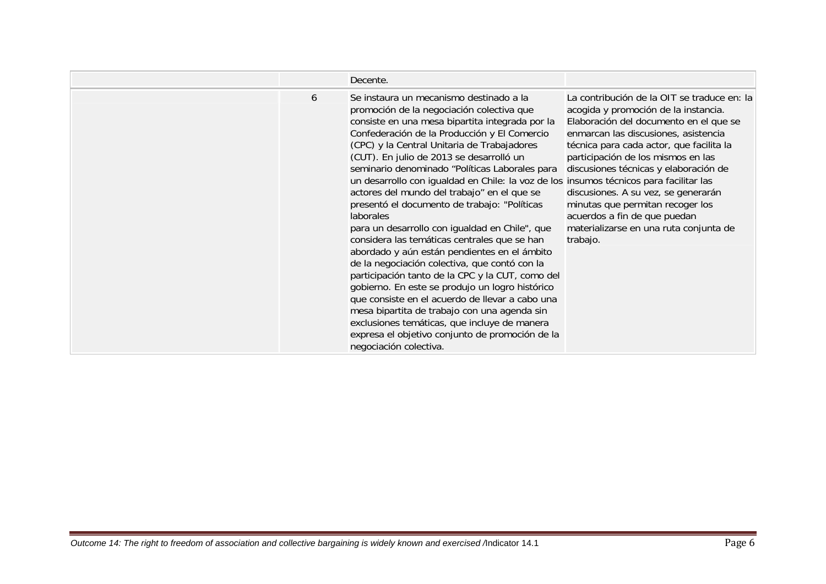|   | Decente.                                                                                                                                                                                                                                                                                                                                                                                                                                                                                                                                                                                                                                                                                                                                                                                                                                                                                                                                                                                                                                                                             |                                                                                                                                                                                                                                                                                                                                                                                                                                                                   |
|---|--------------------------------------------------------------------------------------------------------------------------------------------------------------------------------------------------------------------------------------------------------------------------------------------------------------------------------------------------------------------------------------------------------------------------------------------------------------------------------------------------------------------------------------------------------------------------------------------------------------------------------------------------------------------------------------------------------------------------------------------------------------------------------------------------------------------------------------------------------------------------------------------------------------------------------------------------------------------------------------------------------------------------------------------------------------------------------------|-------------------------------------------------------------------------------------------------------------------------------------------------------------------------------------------------------------------------------------------------------------------------------------------------------------------------------------------------------------------------------------------------------------------------------------------------------------------|
| 6 | Se instaura un mecanismo destinado a la<br>promoción de la negociación colectiva que<br>consiste en una mesa bipartita integrada por la<br>Confederación de la Producción y El Comercio<br>(CPC) y la Central Unitaria de Trabajadores<br>(CUT). En julio de 2013 se desarrolló un<br>seminario denominado "Políticas Laborales para<br>un desarrollo con igualdad en Chile: la voz de los insumos técnicos para facilitar las<br>actores del mundo del trabajo" en el que se<br>presentó el documento de trabajo: "Políticas<br>laborales<br>para un desarrollo con igualdad en Chile", que<br>considera las temáticas centrales que se han<br>abordado y aún están pendientes en el ámbito<br>de la negociación colectiva, que contó con la<br>participación tanto de la CPC y la CUT, como del<br>gobierno. En este se produjo un logro histórico<br>que consiste en el acuerdo de llevar a cabo una<br>mesa bipartita de trabajo con una agenda sin<br>exclusiones temáticas, que incluye de manera<br>expresa el objetivo conjunto de promoción de la<br>negociación colectiva. | La contribución de la OIT se traduce en: la<br>acogida y promoción de la instancia.<br>Elaboración del documento en el que se<br>enmarcan las discusiones, asistencia<br>técnica para cada actor, que facilita la<br>participación de los mismos en las<br>discusiones técnicas y elaboración de<br>discusiones. A su vez, se generarán<br>minutas que permitan recoger los<br>acuerdos a fin de que puedan<br>materializarse en una ruta conjunta de<br>trabajo. |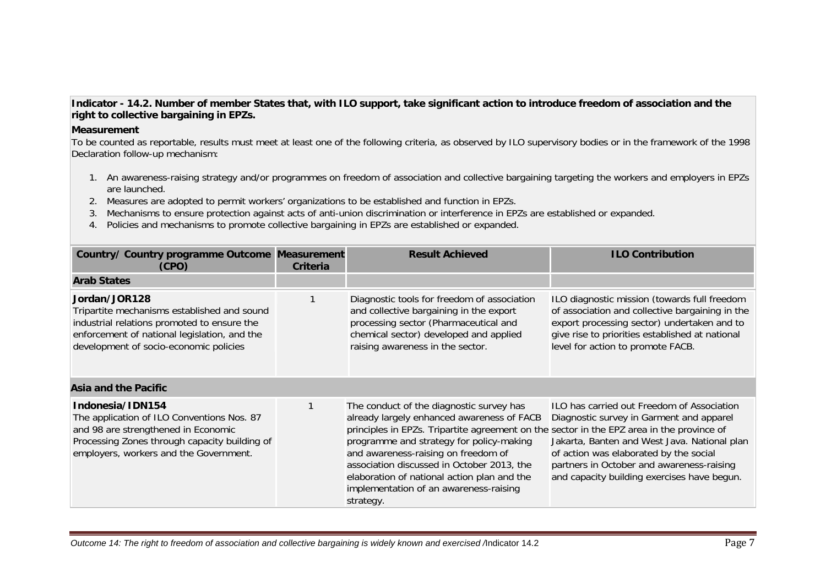## **Indicator - 14.2. Number of member States that, with ILO support, take significant action to introduce freedom of association and the right to collective bargaining in EPZs.**

## **Measurement**

To be counted as reportable, results must meet at least one of the following criteria, as observed by ILO supervisory bodies or in the framework of the 1998 Declaration follow-up mechanism:

- 1. An awareness-raising strategy and/or programmes on freedom of association and collective bargaining targeting the workers and employers in EPZs are launched.
- 2. Measures are adopted to permit workers' organizations to be established and function in EPZs.
- 3. Mechanisms to ensure protection against acts of anti-union discrimination or interference in EPZs are established or expanded.
- 4. Policies and mechanisms to promote collective bargaining in EPZs are established or expanded.

| Country/ Country programme Outcome Measurement<br>(CPO)                                                                                                                                               | Criteria | <b>Result Achieved</b>                                                                                                                                                                                                                                                                                                                                                                                                     | <b>ILO Contribution</b>                                                                                                                                                                                                                                                      |
|-------------------------------------------------------------------------------------------------------------------------------------------------------------------------------------------------------|----------|----------------------------------------------------------------------------------------------------------------------------------------------------------------------------------------------------------------------------------------------------------------------------------------------------------------------------------------------------------------------------------------------------------------------------|------------------------------------------------------------------------------------------------------------------------------------------------------------------------------------------------------------------------------------------------------------------------------|
| <b>Arab States</b>                                                                                                                                                                                    |          |                                                                                                                                                                                                                                                                                                                                                                                                                            |                                                                                                                                                                                                                                                                              |
| Jordan/JOR128<br>Tripartite mechanisms established and sound<br>industrial relations promoted to ensure the<br>enforcement of national legislation, and the<br>development of socio-economic policies |          | Diagnostic tools for freedom of association<br>and collective bargaining in the export<br>processing sector (Pharmaceutical and<br>chemical sector) developed and applied<br>raising awareness in the sector.                                                                                                                                                                                                              | ILO diagnostic mission (towards full freedom<br>of association and collective bargaining in the<br>export processing sector) undertaken and to<br>give rise to priorities established at national<br>level for action to promote FACB.                                       |
| Asia and the Pacific                                                                                                                                                                                  |          |                                                                                                                                                                                                                                                                                                                                                                                                                            |                                                                                                                                                                                                                                                                              |
| Indonesia/IDN154<br>The application of ILO Conventions Nos. 87<br>and 98 are strengthened in Economic<br>Processing Zones through capacity building of<br>employers, workers and the Government.      |          | The conduct of the diagnostic survey has<br>already largely enhanced awareness of FACB<br>principles in EPZs. Tripartite agreement on the sector in the EPZ area in the province of<br>programme and strategy for policy-making<br>and awareness-raising on freedom of<br>association discussed in October 2013, the<br>elaboration of national action plan and the<br>implementation of an awareness-raising<br>strategy. | ILO has carried out Freedom of Association<br>Diagnostic survey in Garment and apparel<br>Jakarta, Banten and West Java. National plan<br>of action was elaborated by the social<br>partners in October and awareness-raising<br>and capacity building exercises have begun. |